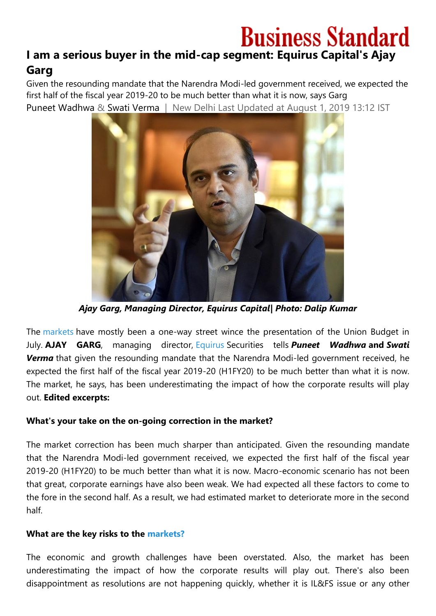# **Business Standard I am a serious buyer in the mid-cap segment: Equirus Capital's Ajay Garg**

Given the resounding mandate that the Narendra Modi-led government received, we expected the first half of the fiscal year 2019-20 to be much better than what it is now, says Garg [Puneet Wadhwa](https://www.business-standard.com/author/search/keyword/puneet-wadhwa) & [Swati Verma](https://www.business-standard.com/author/search/keyword/swati-verma) | New Delhi Last Updated at August 1, 2019 13:12 IST



*Ajay Garg, Managing Director, Equirus Capital| Photo: Dalip Kumar*

The [markets](https://www.business-standard.com/markets) have mostly been a one-way street wince the presentation of the Union Budget in July. **AJAY GARG**, managing director, [Equirus](https://www.business-standard.com/topic/equirus) Securities tells *Puneet Wadhwa* **and** *Swati Verma* that given the resounding mandate that the Narendra Modi-led government received, he expected the first half of the fiscal year 2019-20 (H1FY20) to be much better than what it is now. The market, he says, has been underestimating the impact of how the corporate results will play out. **Edited excerpts:**

## **What's your take on the on-going correction in the market?**

The market correction has been much sharper than anticipated. Given the resounding mandate that the Narendra Modi-led government received, we expected the first half of the fiscal year 2019-20 (H1FY20) to be much better than what it is now. Macro-economic scenario has not been that great, corporate earnings have also been weak. We had expected all these factors to come to the fore in the second half. As a result, we had estimated market to deteriorate more in the second half.

## **What are the key risks to the [markets?](https://www.business-standard.com/markets)**

The economic and growth challenges have been overstated. Also, the market has been underestimating the impact of how the corporate results will play out. There's also been disappointment as resolutions are not happening quickly, whether it is IL&FS issue or any other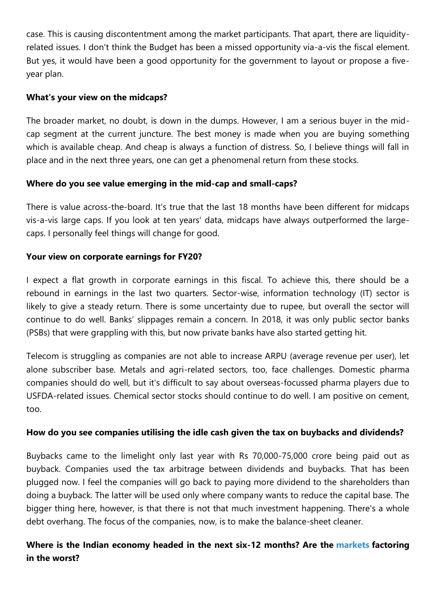case. This is causing discontentment among the market participants. That apart, there are liquidityrelated issues. I don't think the Budget has been a missed opportunity via-a-vis the fiscal element. But yes, it would have been a good opportunity for the government to layout or propose a fiveyear plan.

## **What's your view on the midcaps?**

The broader market, no doubt, is down in the dumps. However, I am a serious buyer in the midcap segment at the current juncture. The best money is made when you are buying something which is available cheap. And cheap is always a function of distress. So, I believe things will fall in place and in the next three years, one can get a phenomenal return from these stocks.

# **Where do you see value emerging in the mid-cap and small-caps?**

There is value across-the-board. It's true that the last 18 months have been different for midcaps vis-a-vis large caps. If you look at ten years' data, midcaps have always outperformed the largecaps. I personally feel things will change for good.

# **Your view on corporate earnings for FY20?**

I expect a flat growth in corporate earnings in this fiscal. To achieve this, there should be a rebound in earnings in the last two quarters. Sector-wise, information technology (IT) sector is likely to give a steady return. There is some uncertainty due to rupee, but overall the sector will continue to do well. Banks' slippages remain a concern. In 2018, it was only public sector banks (PSBs) that were grappling with this, but now private banks have also started getting hit.

Telecom is struggling as companies are not able to increase ARPU (average revenue per user), let alone subscriber base. Metals and agri-related sectors, too, face challenges. Domestic pharma companies should do well, but it's difficult to say about overseas-focussed pharma players due to USFDA-related issues. Chemical sector stocks should continue to do well. I am positive on cement, too.

## **How do you see companies utilising the idle cash given the tax on buybacks and dividends?**

Buybacks came to the limelight only last year with Rs 70,000-75,000 crore being paid out as buyback. Companies used the tax arbitrage between dividends and buybacks. That has been plugged now. I feel the companies will go back to paying more dividend to the shareholders than doing a buyback. The latter will be used only where company wants to reduce the capital base. The bigger thing here, however, is that there is not that much investment happening. There's a whole debt overhang. The focus of the companies, now, is to make the balance-sheet cleaner.

# **Where is the Indian economy headed in the next six-12 months? Are the [markets](https://www.business-standard.com/markets) factoring in the worst?**